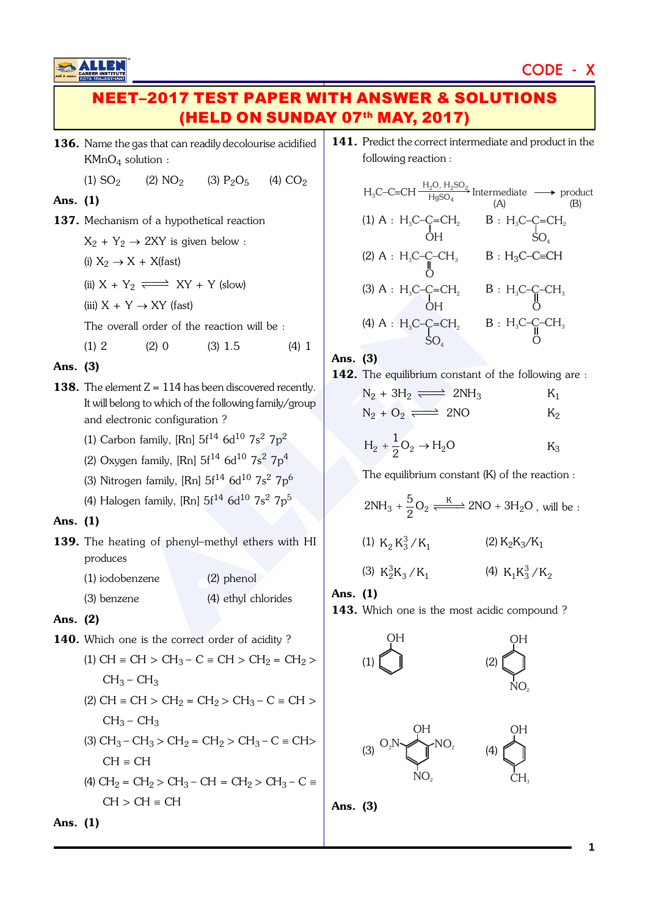# CODE - X

# **EET–2017 TEST PAPER WITH ANSWER & SOLUTIONS** (HELD ON SUNDAY 07th MAY, 2017)

136. Name the gas that can readily decolourise acidified KMnO <sup>4</sup> solution :

(1) 
$$
SO_2
$$
 (2)  $NO_2$  (3)  $P_2O_5$  (4)  $CO_2$ 

### Ans. (1)

- 137. Mechanism of a hypothetical reaction
	- $X_2 + Y_2 \rightarrow 2XY$  is given below :
	- (i)  $X_2 \rightarrow X + X$ (fast)
	- (ii)  $X + Y_2 \implies XY + Y$  (slow)
	- (iii)  $X + Y \rightarrow XY$  (fast)

The overall order of the reaction will be :

(1) 2 (2) 0 (3)  $1.5$  (4) 1

### Ans. (3)

- Y  $\rightarrow$  XY (fast)<br>
(a) A : H<sub>3</sub>C-C-EI<sub>2</sub> B : H<br>
(a) A : H<sub>3</sub>C-C-EI<sub>2</sub> B : H<br>
(a) A : H<sub>3</sub>C-C-EI<sub>2</sub> B : H<br>
(a) A : H<sub>3</sub>C-C-EI<sub>2</sub> B : H<br>
(a) A : H<sub>3</sub>C-C-EI<sub>2</sub> B : H<br>
SO<sub>4</sub><br>
Ans. (3)<br>
Ans. (3)<br>
Ans. (3)<br>
Ans. (3)<br>
Ans. (3)<br>
A 138. The element  $Z = 114$  has been discovered recently. It will belong to which of the following family/group and electronic configuration ?
	- (1) Carbon family, [Rn]  $5f^{14}$  6d $^{10}$  7s<sup>2</sup> 7p<sup>2</sup>
	- (2) Oxygen family, [Rn]  $5f^{14}$   $6d^{10}$   $7s^2$   $7p^4$
	- (3) Nitrogen family, [Rn]  $5f^{14}$  6d $^{10}$  7s $^{2}$  7p $^{6}$
	- (4) Halogen family, [Rn]  $5\mathrm{f^{14}}$  6d $^{10}$  7s $^2$  7p $^5$

### Ans. (1)

- 139. The heating of phenyl-methyl ethers with HI produces
	- (1) iodobenzene (2) phenol (3) benzene (4) ethyl chlorides

# Ans. (2)

140. Which one is the correct order of acidity?

(1) CH = CH > CH<sub>3</sub> – C = CH > CH<sub>2</sub> = CH<sub>2</sub> >  $CH_3$  –  $CH_3$ (2) CH  $\equiv$  CH  $>$  CH<sub>2</sub>  $=$  CH<sub>2</sub> $>$  CH<sub>3</sub> $-$  C  $\equiv$  CH  $>$  $CH_3$  –  $CH_3$ (3)  $CH_3$  –  $CH_3$  >  $CH_2$  =  $CH_2$  >  $CH_3$  –  $C \equiv CH$  >  $CH \equiv CH$ (4)  $CH_2 = CH_2 > CH_3 - CH = CH_2 > CH_3 - C =$ 

 $CH > CH \equiv CH$ 

Ans. (1)

141. Predict the correct intermediate and product in the following reaction :

$$
H_3C-C=CH \frac{H_2O, H_2SO_2}{H_3SO_4} Intermediate \longrightarrow product\n(A) (B)\n(1) A : H_3C-C=CH_2 B : H_3C-C=CH_2\nOH \nS O_4\n(2) A : H_3C-C-CH_3 B : H_3C-C=CH\nO\n(3) A : H_3C-C=CH_2 B : H_3C-C-CH_3\nOH \nO\n(4) A : H_3C-C=CH_2 B : H_3C-C-CH_3\nSO_4 \nO
$$

### Ans. (3)

142. The equilibrium constant of the following are :

$$
N_2 + 3H_2 \xrightarrow{\longrightarrow} 2NH_3
$$

$$
N_2 + O_2 \xrightarrow{N_2} 2NO \qquad K_2
$$

$$
H_2 + \frac{1}{2}O_2 \rightarrow H_2O \qquad K_3
$$

The equilibrium constant (K) of the reaction :

$$
2NH_3 + \frac{5}{2}O_2 \xrightarrow{K} 2NO + 3H_2O
$$
, will be :

(1)  $K_2 K_3^3 / K_1$  (2) K  $\rm _2K_3/K_1$ 

$$
(3) K_2^3 K_3 / K_1 \t\t (4) K_1 K_3^3 / K_2
$$

Ans. (1)

143. Which one is the most acidic compound?



NO 2

Ans. (3)

CH 3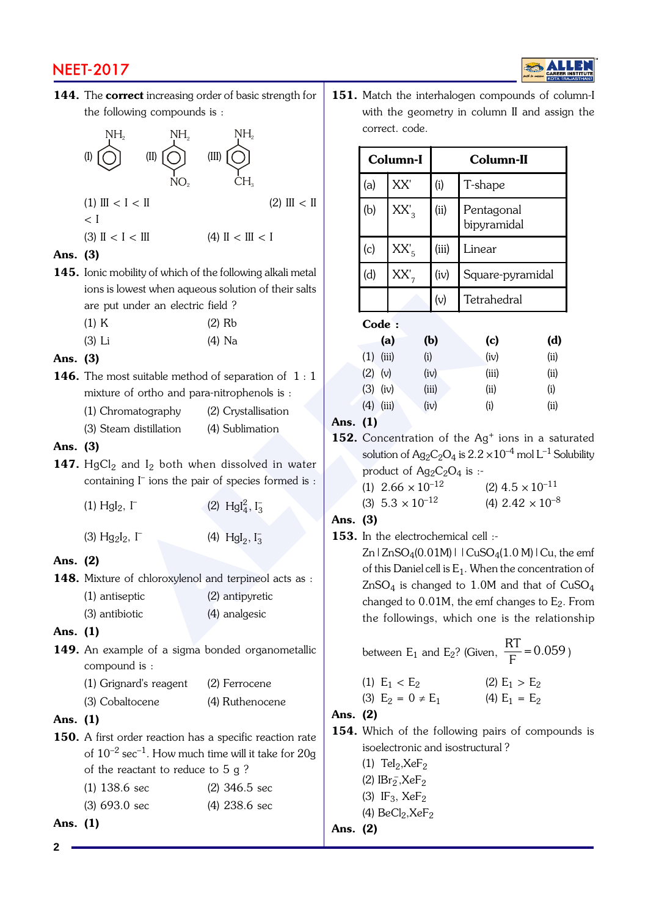# NEET-2017

144. The correct increasing order of basic strength for the following compounds is :



| forts is lowest wright aqueous solution of the |               |
|------------------------------------------------|---------------|
| are put under an electric field?               |               |
| $1.1$ T                                        | $\sim$ $\sim$ |

| $(1)$ K |  | $(2)$ Rb |
|---------|--|----------|
|         |  |          |

(3) Li (4) Na

## Ans. (3)

- 146. The most suitable method of separation of 1:1 mixture of ortho and para-nitrophenols is : (1) Chromatography (2) Crystallisation
	- (3) Steam distillation (4) Sublimation

### Ans. (3)

147.  $HgCl<sub>2</sub>$  and I<sub>2</sub> both when dissolved in water containing  $\Gamma$  ions the pair of species formed is :

| $(1)$ HgI <sub>2</sub> , I <sup>-</sup> | (2) $Hgl_4^2$ , $I_3^-$ |  |
|-----------------------------------------|-------------------------|--|
| (3) $Hg_2I_2$ , $\Gamma$                | (4) $Hgl_2$ , $I_3^-$   |  |

# Ans. (2)

148. Mixture of chloroxylenol and terpineol acts as : (1) antiseptic (2) antipyretic (3) antibiotic (4) analgesic

# Ans. (1)

149. An example of a sigma bonded organometallic compound is :

| (1) Grignard's reagent | (2) Ferrocene   |  |  |
|------------------------|-----------------|--|--|
| (3) Cobaltocene        | (4) Ruthenocene |  |  |

### Ans. (1)

- 150. A first order reaction has a specific reaction rate of  $10^{-2}$  sec<sup>-1</sup>. How much time will it take for  $20g$ of the reactant to reduce to 5 g ? (1) 138.6 sec (2) 346.5 sec
	- (3) 693.0 sec (4) 238.6 sec

# Ans. (1)

**2**

151. Match the interhalogen compounds of column-I with the geometry in column II and assign the correct. code.

| (II)                                            | (III)                                                                                        |                                                      |                                                                                                                                                   | Column-I                   |       | Column-II                                                      |      |  |
|-------------------------------------------------|----------------------------------------------------------------------------------------------|------------------------------------------------------|---------------------------------------------------------------------------------------------------------------------------------------------------|----------------------------|-------|----------------------------------------------------------------|------|--|
|                                                 | CH <sub>3</sub>                                                                              |                                                      | (a)                                                                                                                                               | XX'                        | (i)   | T-shape                                                        |      |  |
| I < II                                          | $(2)$ III < II                                                                               |                                                      | (b)                                                                                                                                               | $XX'_{3}$                  | (ii)  | Pentagonal<br>bipyramidal                                      |      |  |
| $\rm I < III$                                   | (4) II < III < I                                                                             |                                                      | (c)                                                                                                                                               | $XX'_5$                    | (iii) | Linear                                                         |      |  |
|                                                 | obility of which of the following alkali metal<br>owest when aqueous solution of their salts |                                                      | (d)                                                                                                                                               | $XX'_{7}$                  | (iv)  | Square-pyramidal                                               |      |  |
| under an electric field ?                       |                                                                                              |                                                      |                                                                                                                                                   |                            | (v)   | Tetrahedral                                                    |      |  |
|                                                 | $(2)$ Rb                                                                                     |                                                      | Code:                                                                                                                                             |                            |       |                                                                |      |  |
|                                                 | $(4)$ Na                                                                                     |                                                      |                                                                                                                                                   | (a)                        | (b)   | (c)                                                            | (d)  |  |
|                                                 |                                                                                              |                                                      | $(1)$ (iii)                                                                                                                                       |                            | (i)   | (iv)                                                           | (ii) |  |
|                                                 | ost suitable method of separation of $1:1$                                                   |                                                      | $(2)$ (v)                                                                                                                                         |                            | (iv)  | (iii)                                                          | (ii) |  |
|                                                 | of ortho and para-nitrophenols is :                                                          |                                                      | $(3)$ (iv)                                                                                                                                        |                            | (iii) | (ii)                                                           | (i)  |  |
| omatography                                     | (2) Crystallisation                                                                          |                                                      | $(4)$ (iii)                                                                                                                                       |                            | (iv)  | (i)                                                            | (ii) |  |
| m distillation                                  | (4) Sublimation                                                                              | Ans. (1)                                             |                                                                                                                                                   |                            |       |                                                                |      |  |
|                                                 |                                                                                              |                                                      | 152. Concentration of the Ag <sup>+</sup> ions in a saturated                                                                                     |                            |       |                                                                |      |  |
| and I <sub>2</sub> both when dissolved in water |                                                                                              |                                                      | solution of Ag <sub>2</sub> C <sub>2</sub> O <sub>4</sub> is 2.2 $\times 10^{-4}$ mol L <sup>-1</sup> Solubility<br>product of $Ag_2C_2O_4$ is :- |                            |       |                                                                |      |  |
|                                                 | ing $\Gamma$ ions the pair of species formed is :                                            |                                                      |                                                                                                                                                   | (1) $2.66 \times 10^{-12}$ |       | $(2)$ 4.5 $\times$ 10 <sup>-11</sup>                           |      |  |
| $_2, \Gamma$                                    | (2) $Hgl_4^2$ , $I_3^-$                                                                      |                                                      |                                                                                                                                                   | (3) $5.3 \times 10^{-12}$  |       | (4) $2.42 \times 10^{-8}$                                      |      |  |
|                                                 |                                                                                              | Ans. (3)                                             |                                                                                                                                                   |                            |       |                                                                |      |  |
| $I_2$ , $\Gamma$                                | (4) $Hgl_2, I_3^-$                                                                           |                                                      |                                                                                                                                                   |                            |       | 153. In the electrochemical cell :-                            |      |  |
|                                                 |                                                                                              |                                                      |                                                                                                                                                   |                            |       | Zn   ZnSO <sub>4</sub> (0.01M)   $ CuSO_4(1.0 M) Cu$ , the emf |      |  |
|                                                 |                                                                                              |                                                      |                                                                                                                                                   |                            |       | of this Daniel cell is $E_1$ . When the concentration of       |      |  |
|                                                 | of chloroxylenol and terpineol acts as :                                                     |                                                      |                                                                                                                                                   |                            |       | $ZnSO_4$ is changed to 1.0M and that of $CuSO_4$               |      |  |
| septic                                          | (2) antipyretic                                                                              | changed to $0.01M$ , the emf changes to $E_2$ . From |                                                                                                                                                   |                            |       |                                                                |      |  |
| biotic                                          | (4) analgesic                                                                                |                                                      |                                                                                                                                                   |                            |       | the followings, which one is the relationship                  |      |  |
|                                                 |                                                                                              |                                                      |                                                                                                                                                   |                            |       | RT.                                                            |      |  |

# Ans. (3)

| between E <sub>1</sub> and E <sub>2</sub> ? (Given, $\frac{RT}{T}$ = 0.059) |  |
|-----------------------------------------------------------------------------|--|
|-----------------------------------------------------------------------------|--|

(1) 
$$
E_1 < E_2
$$
  
\n(2)  $E_1 > E_2$   
\n(3)  $E_2 = 0 \neq E_1$   
\n(4)  $E_1 = E_2$ 

# Ans. (2)

154. Which of the following pairs of compounds is isoelectronic and isostructural ?

(1)  $\text{Tel}_2, \text{XeF}_2$ 

- (2)  $IBr_2^-$ ,  $XeF_2$
- (3)  $IF_3$ ,  $XeF_2$
- (4)  $BeCl<sub>2</sub>, XeF<sub>2</sub>$

# Ans. (2)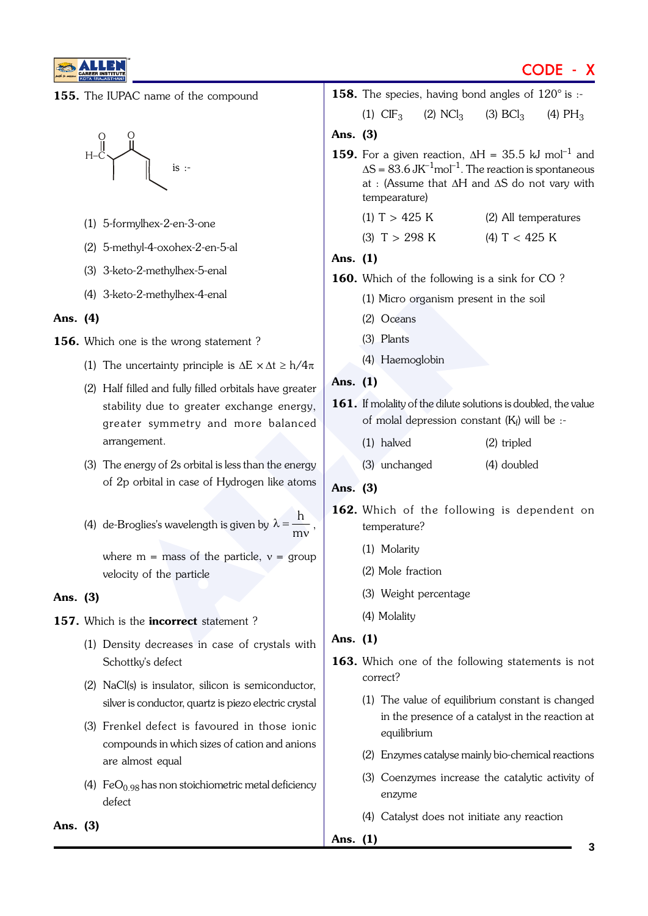

# CODE - X

155. The IUPAC name of the compound



- (1) 5-formylhex-2-en-3-one
- (2) 5-methyl-4-oxohex-2-en-5-al
- (3) 3-keto-2-methylhex-5-enal
- (4) 3-keto-2-methylhex-4-enal
- Ans. (4)

156. Which one is the wrong statement?

- (1) The uncertainty principle is  $\Delta E \times \Delta t \geq h/4\pi$
- (2) Half filled and fully filled orbitals have greater stability due to greater exchange energy, greater symmetry and more balanced arrangement.
- (3) The energy of 2s orbital is less than the energy of 2p orbital in case of Hydrogen like atoms
- (4) de-Broglies's wavelength is given by  $\lambda = \frac{h}{mv}$ ,

where  $m =$  mass of the particle,  $v =$  group velocity of the particle

- Ans. (3)
- 157. Which is the incorrect statement?
	- (1) Density decreases in case of crystals with Schottkv's defect
	- (2) NaCl(s) is insulator, silicon is semiconductor, silver is conductor, quartz is piezo electric crystal
	- (3) Frenkel defect is favoured in those ionic compounds in which sizes of cation and anions are almost equal
	- (4)  $FeO<sub>0.98</sub>$  has non stoichiometric metal deficiency defect

to-2-methylhex-4-enal (1) Micro organism present in t<br>
(2) Oceans<br>
uncertainty principle is  $\Delta E \times \Delta t \ge h/4\pi$  (4) Haemoglobin<br>
filled and fully filled orbitals have greater<br>
(3) Plants<br>
(3) Plants<br>
(4) Haemoglobin<br>
filled  $(1)$  CIF<sub>3</sub>  $(2)$  NCl<sub>3</sub>  $(3) BCl<sub>3</sub>$  $\vert_3$  (4) PH<sub>3</sub> Ans. (3) **159.** For a given reaction,  $\Delta H = 35.5$  kJ mol<sup>-1</sup> and  $\Delta S = 83.6 \text{ JK}^{-1} \text{mol}^{-1}$ . The reaction is spontaneous at : (Assume that  $\Delta H$  and  $\Delta S$  do not vary with tempearature) (1)  $T > 425$  K (2) All temperatures (3)  $T > 298$  K (4)  $T < 425$  K Ans. (1) 160. Which of the following is a sink for CO? (1) Micro organism present in the soil (2) Oceans (3) Plants (4) Haemoglobin Ans. (1) 161. If molality of the dilute solutions is doubled, the value of molal depression constant  $(K_f)$  will be :-(1) halved (2) tripled (3) unchanged (4) doubled Ans. (3) 162. Which of the following is dependent on temperature? (1) Molarity (2) Mole fraction (3) Weight percentage (4) Molality Ans. (1)

**158.** The species, having bond angles of  $120^\circ$  is :-

- 163. Which one of the following statements is not correct?
	- (1) The value of equilibrium constant is changed in the presence of a catalyst in the reaction at equilibrium
	- (2) Enzymes catalyse mainly bio-chemical reactions
	- (3) Coenzymes increase the catalytic activity of enzyme
	- (4) Catalyst does not initiate any reaction

Ans. (1)

Ans. (3)

#### **3**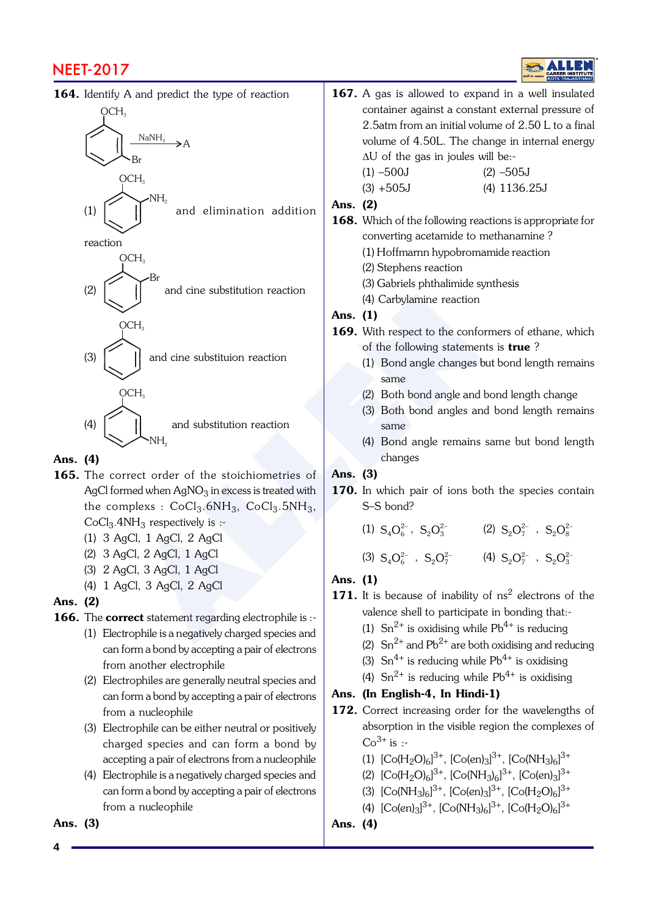# NEET-2017

164. Identify A and predict the type of reaction

ALLEN OCH 3 Br NaNH 2 A (1) OCH 3 NH 2 and elimination addition reaction (2) OCH 3 Br and cine substitution reaction (3) OCH 3 and cine substituion reaction (4) OCH 3 and substitution reaction

Ans. (4)

165. The correct order of the stoichiometries of AgCI formed when AgNO $_3$  in excess is treated with the complexs :  $CoCl<sub>3</sub>$ .6NH<sub>3</sub>,  $CoCl<sub>3</sub>$ .5NH<sub>3</sub>,  $CoCl<sub>3</sub>$ .4NH<sub>3</sub> respectively is :-

(1) 3 AgCl, 1 AgCl, 2 AgCl

 $\text{NH}_2$ 

- (2) 3 AgCl, 2 AgCl, 1 AgCl
- (3) 2 AgCl, 3 AgCl, 1 AgCl
- (4) 1 AgCl, 3 AgCl, 2 AgCl

#### Ans. (2)

166. The correct statement regarding electrophile is :-

- (1) Electrophile is a negatively charged species and can form a bond by accepting a pair of electrons from another electrophile
- (2) Electrophiles are generally neutral species and can form a bond by accepting a pair of electrons from a nucleophile
- (3) Electrophile can be either neutral or positively charged species and can form a bond by accepting a pair of electrons from a nucleophile
- (4) Electrophile is a negatively charged species and can form a bond by accepting a pair of electrons from a nucleophile

Ans. (3)

**4**

- 167. A gas is allowed to expand in a well insulated container against a constant external pressure of 2.5atm from an initial volume of 2.50 L to a final volume of 4.50L. The change in internal energy  $\Delta U$  of the gas in joules will be:- $(1)$  –500J  $(2)$  –505J (3) +505J (4) 1136.25J Ans. (2) 168. Which of the following reactions is appropriate for converting acetamide to methanamine ? (1) Hoffmarnn hypobromamide reaction (2) Stephens reaction (3) Gabriels phthalimide synthesis (4) Carbylamine reaction Ans. (1) 169. With respect to the conformers of ethane, which of the following statements is **true**? (1) Bond angle changes but bond length remains same
	- (2) Both bond angle and bond length change
	- (3) Both bond angles and bond length remains same
	- (4) Bond angle remains same but bond length changes

## Ans. (3)

**170.** In which pair of ions both the species contain S–S bond?

(1)  $S_4O_6^{2-}$ ,  $S_2O_3^{2-}$  (2)  $S_2O_7^{2-}$ ,  $S_2O_8^{2-}$ 

(3)  $S_4O_6^{2-}$ ,  $S_2O_7^{2-}$  (4)  $S_2O_7^{2-}$ ,  $S_2O_3^{2-}$ 

# Ans. (1)

- **171.** It is because of inability of  $ns^2$  electrons of the valence shell to participate in bonding that:-
	- (1)  $\text{Sn}^{2+}$  is oxidising while Pb<sup>4+</sup> is reducing
	- (2)  $\text{Sn}^{2+}$  and Pb<sup>2+</sup> are both oxidising and reducing
	- (3)  $\text{Sn}^{4+}$  is reducing while Pb<sup>4+</sup> is oxidising
	- (4)  $\text{Sn}^{2+}$  is reducing while Pb<sup>4+</sup> is oxidising

### Ans. (In English-4, In Hindi-1)

- 172. Correct increasing order for the wavelengths of absorption in the visible region the complexes of  $Co^{3+}$  is :-
	- (1)  $[Co(H<sub>2</sub>O)<sub>6</sub>]<sup>3+</sup>, [Co(en)<sub>3</sub>]<sup>3+</sup>, [Co(NH<sub>3</sub>)<sub>6</sub>]<sup>3+</sup>$
	- (2)  $[Co(H<sub>2</sub>O)<sub>6</sub>]<sup>3+</sup>, [Co(NH<sub>3</sub>)<sub>6</sub>]<sup>3+</sup>, [Co(en)<sub>3</sub>]<sup>3+</sup>$
	- (3)  $[Co(NH<sub>3</sub>)<sub>6</sub>]<sup>3+</sup>, [Co(en)<sub>3</sub>]<sup>3+</sup>, [Co(H<sub>2</sub>O)<sub>6</sub>]<sup>3+</sup>$
	- (4)  $[Co(en)_3]^{3+}$ ,  $[Co(NH_3)_6]^{3+}$ ,  $[Co(H_2O)_6]^{3+}$
- Ans. (4)